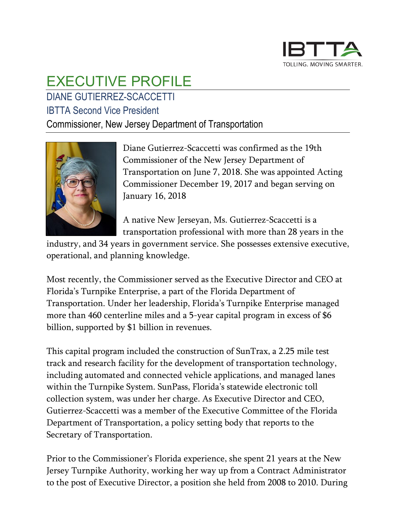

## EXECUTIVE PROFILE

## DIANE GUTIERREZ-SCACCETTI

## IBTTA Second Vice President

Commissioner, New Jersey Department of Transportation



Diane Gutierrez-Scaccetti was confirmed as the 19th Commissioner of the New Jersey Department of Transportation on June 7, 2018. She was appointed Acting Commissioner December 19, 2017 and began serving on January 16, 2018

A native New Jerseyan, Ms. Gutierrez-Scaccetti is a transportation professional with more than 28 years in the

industry, and 34 years in government service. She possesses extensive executive, operational, and planning knowledge.

Most recently, the Commissioner served as the Executive Director and CEO at Florida's Turnpike Enterprise, a part of the Florida Department of Transportation. Under her leadership, Florida's Turnpike Enterprise managed more than 460 centerline miles and a 5-year capital program in excess of \$6 billion, supported by \$1 billion in revenues.

This capital program included the construction of SunTrax, a 2.25 mile test track and research facility for the development of transportation technology, including automated and connected vehicle applications, and managed lanes within the Turnpike System. SunPass, Florida's statewide electronic toll collection system, was under her charge. As Executive Director and CEO, Gutierrez-Scaccetti was a member of the Executive Committee of the Florida Department of Transportation, a policy setting body that reports to the Secretary of Transportation.

Prior to the Commissioner's Florida experience, she spent 21 years at the New Jersey Turnpike Authority, working her way up from a Contract Administrator to the post of Executive Director, a position she held from 2008 to 2010. During